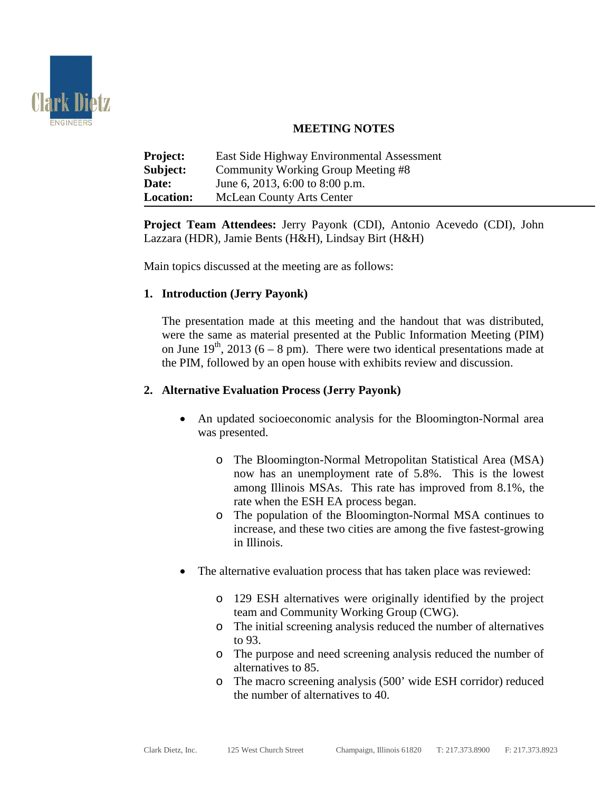

# **MEETING NOTES**

| <b>Project:</b>  | East Side Highway Environmental Assessment |
|------------------|--------------------------------------------|
| Subject:         | Community Working Group Meeting #8         |
| Date:            | June 6, 2013, 6:00 to 8:00 p.m.            |
| <b>Location:</b> | <b>McLean County Arts Center</b>           |

**Project Team Attendees:** Jerry Payonk (CDI), Antonio Acevedo (CDI), John Lazzara (HDR), Jamie Bents (H&H), Lindsay Birt (H&H)

Main topics discussed at the meeting are as follows:

## **1. Introduction (Jerry Payonk)**

The presentation made at this meeting and the handout that was distributed, were the same as material presented at the Public Information Meeting (PIM) on June  $19<sup>th</sup>$ , 2013 (6 – 8 pm). There were two identical presentations made at the PIM, followed by an open house with exhibits review and discussion.

### **2. Alternative Evaluation Process (Jerry Payonk)**

- An updated socioeconomic analysis for the Bloomington-Normal area was presented.
	- o The Bloomington-Normal Metropolitan Statistical Area (MSA) now has an unemployment rate of 5.8%. This is the lowest among Illinois MSAs. This rate has improved from 8.1%, the rate when the ESH EA process began.
	- o The population of the Bloomington-Normal MSA continues to increase, and these two cities are among the five fastest-growing in Illinois.
- The alternative evaluation process that has taken place was reviewed:
	- o 129 ESH alternatives were originally identified by the project team and Community Working Group (CWG).
	- o The initial screening analysis reduced the number of alternatives to 93.
	- o The purpose and need screening analysis reduced the number of alternatives to 85.
	- o The macro screening analysis (500' wide ESH corridor) reduced the number of alternatives to 40.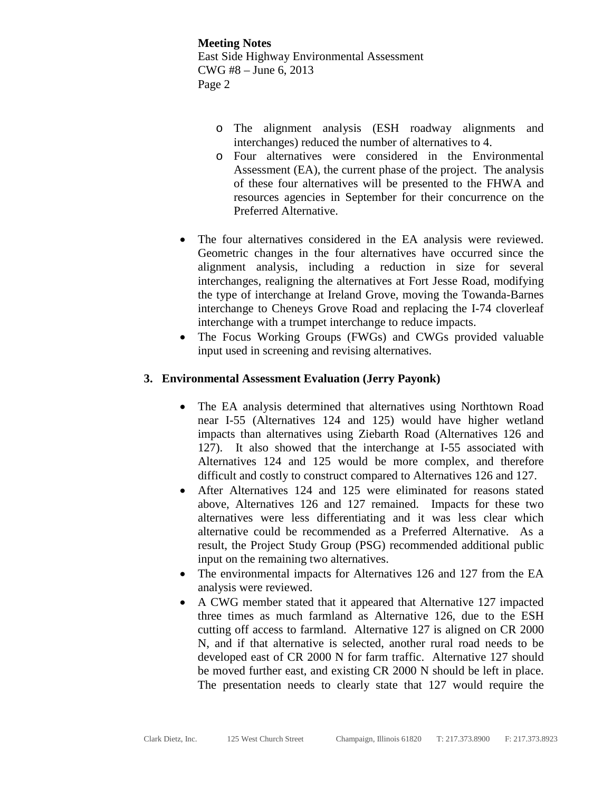**Meeting Notes** East Side Highway Environmental Assessment CWG #8 – June 6, 2013 Page 2

- o The alignment analysis (ESH roadway alignments and interchanges) reduced the number of alternatives to 4.
- o Four alternatives were considered in the Environmental Assessment (EA), the current phase of the project. The analysis of these four alternatives will be presented to the FHWA and resources agencies in September for their concurrence on the Preferred Alternative.
- The four alternatives considered in the EA analysis were reviewed. Geometric changes in the four alternatives have occurred since the alignment analysis, including a reduction in size for several interchanges, realigning the alternatives at Fort Jesse Road, modifying the type of interchange at Ireland Grove, moving the Towanda-Barnes interchange to Cheneys Grove Road and replacing the I-74 cloverleaf interchange with a trumpet interchange to reduce impacts.
- The Focus Working Groups (FWGs) and CWGs provided valuable input used in screening and revising alternatives.

### **3. Environmental Assessment Evaluation (Jerry Payonk)**

- The EA analysis determined that alternatives using Northtown Road near I-55 (Alternatives 124 and 125) would have higher wetland impacts than alternatives using Ziebarth Road (Alternatives 126 and 127). It also showed that the interchange at I-55 associated with Alternatives 124 and 125 would be more complex, and therefore difficult and costly to construct compared to Alternatives 126 and 127.
- After Alternatives 124 and 125 were eliminated for reasons stated above, Alternatives 126 and 127 remained. Impacts for these two alternatives were less differentiating and it was less clear which alternative could be recommended as a Preferred Alternative. As a result, the Project Study Group (PSG) recommended additional public input on the remaining two alternatives.
- The environmental impacts for Alternatives 126 and 127 from the EA analysis were reviewed.
- A CWG member stated that it appeared that Alternative 127 impacted three times as much farmland as Alternative 126, due to the ESH cutting off access to farmland. Alternative 127 is aligned on CR 2000 N, and if that alternative is selected, another rural road needs to be developed east of CR 2000 N for farm traffic. Alternative 127 should be moved further east, and existing CR 2000 N should be left in place. The presentation needs to clearly state that 127 would require the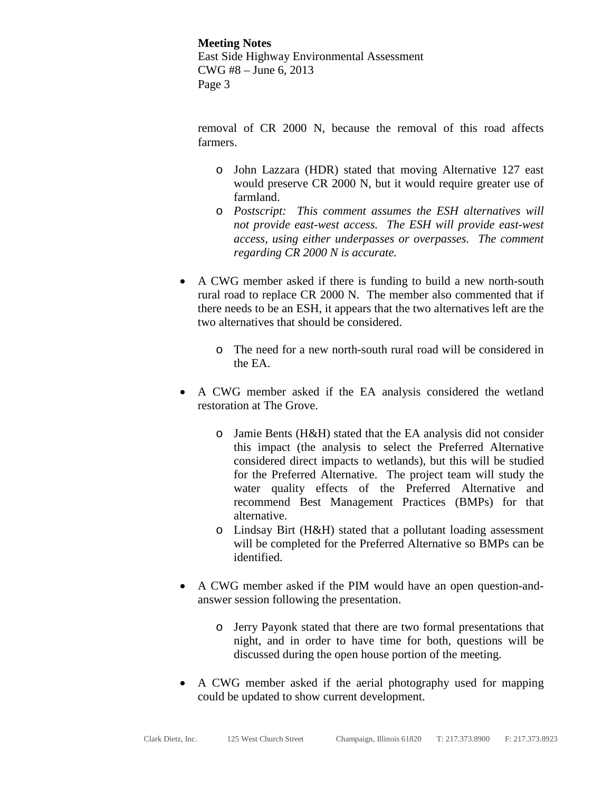**Meeting Notes** East Side Highway Environmental Assessment CWG #8 – June 6, 2013 Page 3

removal of CR 2000 N, because the removal of this road affects farmers.

- o John Lazzara (HDR) stated that moving Alternative 127 east would preserve CR 2000 N, but it would require greater use of farmland.
- o *Postscript: This comment assumes the ESH alternatives will not provide east-west access. The ESH will provide east-west access, using either underpasses or overpasses. The comment regarding CR 2000 N is accurate.*
- A CWG member asked if there is funding to build a new north-south rural road to replace CR 2000 N. The member also commented that if there needs to be an ESH, it appears that the two alternatives left are the two alternatives that should be considered.
	- o The need for a new north-south rural road will be considered in the EA.
- A CWG member asked if the EA analysis considered the wetland restoration at The Grove.
	- o Jamie Bents (H&H) stated that the EA analysis did not consider this impact (the analysis to select the Preferred Alternative considered direct impacts to wetlands), but this will be studied for the Preferred Alternative. The project team will study the water quality effects of the Preferred Alternative and recommend Best Management Practices (BMPs) for that alternative.
	- o Lindsay Birt (H&H) stated that a pollutant loading assessment will be completed for the Preferred Alternative so BMPs can be identified.
- A CWG member asked if the PIM would have an open question-andanswer session following the presentation.
	- o Jerry Payonk stated that there are two formal presentations that night, and in order to have time for both, questions will be discussed during the open house portion of the meeting.
- A CWG member asked if the aerial photography used for mapping could be updated to show current development.